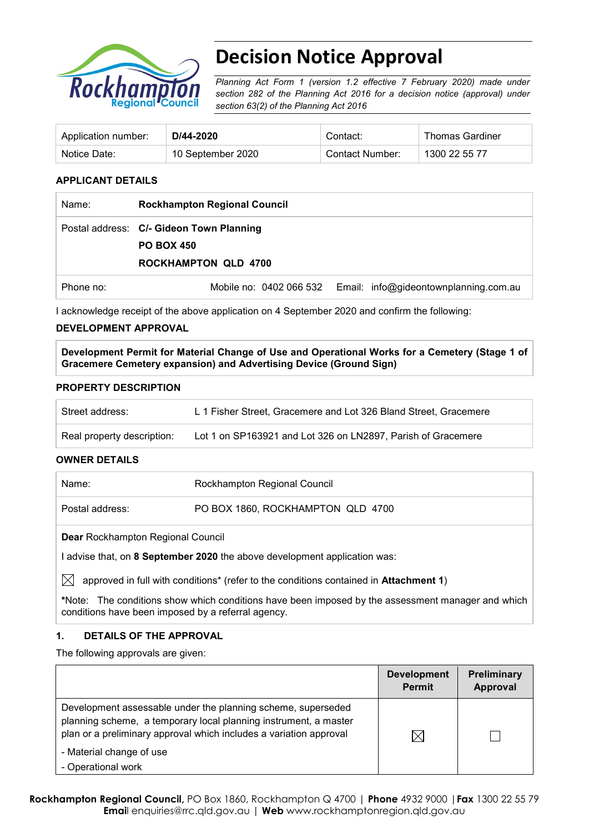

# **Decision Notice Approval**

*Planning Act Form 1 (version 1.2 effective 7 February 2020) made under section 282 of the Planning Act 2016 for a decision notice (approval) under section 63(2) of the Planning Act 2016*

| Application number: | D/44-2020         | Contact:        | Thomas Gardiner |
|---------------------|-------------------|-----------------|-----------------|
| Notice Date:        | 10 September 2020 | Contact Number: | 1300 22 55 77   |

#### **APPLICANT DETAILS**

| Name:     | <b>Rockhampton Regional Council</b>                                                          |
|-----------|----------------------------------------------------------------------------------------------|
|           | Postal address: C/- Gideon Town Planning<br><b>PO BOX 450</b><br><b>ROCKHAMPTON QLD 4700</b> |
| Phone no: | Mobile no: 0402 066 532 Email: info@gideontownplanning.com.au                                |

I acknowledge receipt of the above application on 4 September 2020 and confirm the following:

#### **DEVELOPMENT APPROVAL**

**Development Permit for Material Change of Use and Operational Works for a Cemetery (Stage 1 of Gracemere Cemetery expansion) and Advertising Device (Ground Sign)**

#### **PROPERTY DESCRIPTION**

| Street address:            | L 1 Fisher Street, Gracemere and Lot 326 Bland Street, Gracemere |
|----------------------------|------------------------------------------------------------------|
| Real property description: | Lot 1 on SP163921 and Lot 326 on LN2897, Parish of Gracemere     |

#### **OWNER DETAILS**

| Name:                                    | Rockhampton Regional Council      |  |
|------------------------------------------|-----------------------------------|--|
| Postal address:                          | PO BOX 1860, ROCKHAMPTON QLD 4700 |  |
| <b>Dear Rockhampton Regional Council</b> |                                   |  |

I advise that, on **8 September 2020** the above development application was:

 $\boxtimes$  approved in full with conditions<sup>\*</sup> (refer to the conditions contained in **Attachment 1**)

**\***Note:The conditions show which conditions have been imposed by the assessment manager and which conditions have been imposed by a referral agency.

#### **1. DETAILS OF THE APPROVAL**

The following approvals are given:

|                                                                                                                                                                                                        | <b>Development</b><br><b>Permit</b> | <b>Preliminary</b><br>Approval |
|--------------------------------------------------------------------------------------------------------------------------------------------------------------------------------------------------------|-------------------------------------|--------------------------------|
| Development assessable under the planning scheme, superseded<br>planning scheme, a temporary local planning instrument, a master<br>plan or a preliminary approval which includes a variation approval | IХ                                  |                                |
| - Material change of use                                                                                                                                                                               |                                     |                                |
| - Operational work                                                                                                                                                                                     |                                     |                                |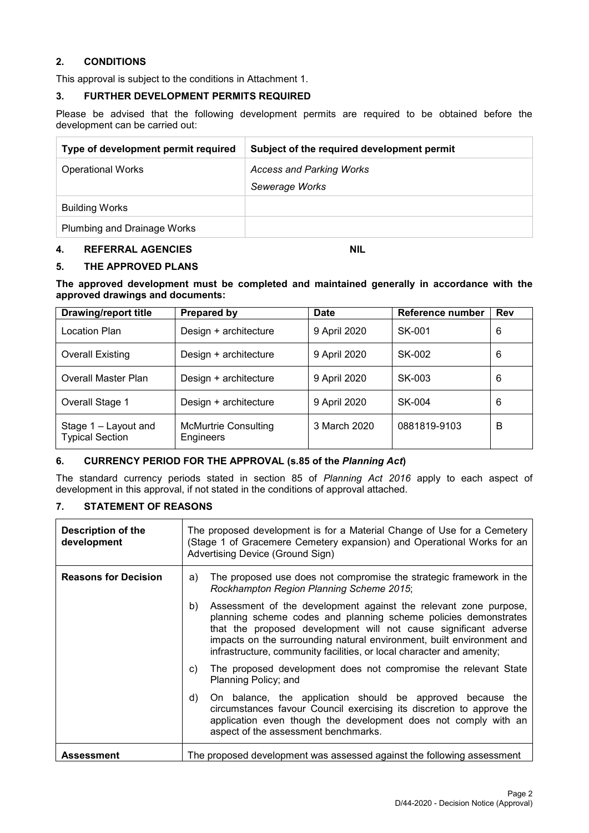#### **2. CONDITIONS**

This approval is subject to the conditions in Attachment 1.

#### **3. FURTHER DEVELOPMENT PERMITS REQUIRED**

Please be advised that the following development permits are required to be obtained before the development can be carried out:

| Type of development permit required | Subject of the required development permit |
|-------------------------------------|--------------------------------------------|
| <b>Operational Works</b>            | <b>Access and Parking Works</b>            |
|                                     | Sewerage Works                             |
| <b>Building Works</b>               |                                            |
| Plumbing and Drainage Works         |                                            |

#### **4. REFERRAL AGENCIES NIL**

#### **5. THE APPROVED PLANS**

**The approved development must be completed and maintained generally in accordance with the approved drawings and documents:**

| <b>Drawing/report title</b>                    | Prepared by                              | Date         | Reference number | <b>Rev</b> |
|------------------------------------------------|------------------------------------------|--------------|------------------|------------|
| Location Plan                                  | Design + architecture                    | 9 April 2020 | SK-001           | 6          |
| <b>Overall Existing</b>                        | Design + architecture                    | 9 April 2020 | SK-002           | 6          |
| Overall Master Plan                            | Design + architecture                    | 9 April 2020 | SK-003           | 6          |
| Overall Stage 1                                | Design + architecture                    | 9 April 2020 | SK-004           | 6          |
| Stage 1 - Layout and<br><b>Typical Section</b> | <b>McMurtrie Consulting</b><br>Engineers | 3 March 2020 | 0881819-9103     | B          |

#### **6. CURRENCY PERIOD FOR THE APPROVAL (s.85 of the** *Planning Act***)**

The standard currency periods stated in section 85 of *Planning Act 2016* apply to each aspect of development in this approval, if not stated in the conditions of approval attached.

#### **7. STATEMENT OF REASONS**

| Description of the<br>development | The proposed development is for a Material Change of Use for a Cemetery<br>(Stage 1 of Gracemere Cemetery expansion) and Operational Works for an<br>Advertising Device (Ground Sign)                                                                                                                                                                           |
|-----------------------------------|-----------------------------------------------------------------------------------------------------------------------------------------------------------------------------------------------------------------------------------------------------------------------------------------------------------------------------------------------------------------|
| <b>Reasons for Decision</b>       | The proposed use does not compromise the strategic framework in the<br>a)<br>Rockhampton Region Planning Scheme 2015;                                                                                                                                                                                                                                           |
|                                   | b)<br>Assessment of the development against the relevant zone purpose,<br>planning scheme codes and planning scheme policies demonstrates<br>that the proposed development will not cause significant adverse<br>impacts on the surrounding natural environment, built environment and<br>infrastructure, community facilities, or local character and amenity; |
|                                   | The proposed development does not compromise the relevant State<br>C)<br>Planning Policy; and                                                                                                                                                                                                                                                                   |
|                                   | On balance, the application should be approved because the<br>d)<br>circumstances favour Council exercising its discretion to approve the<br>application even though the development does not comply with an<br>aspect of the assessment benchmarks.                                                                                                            |
| <b>Assessment</b>                 | The proposed development was assessed against the following assessment                                                                                                                                                                                                                                                                                          |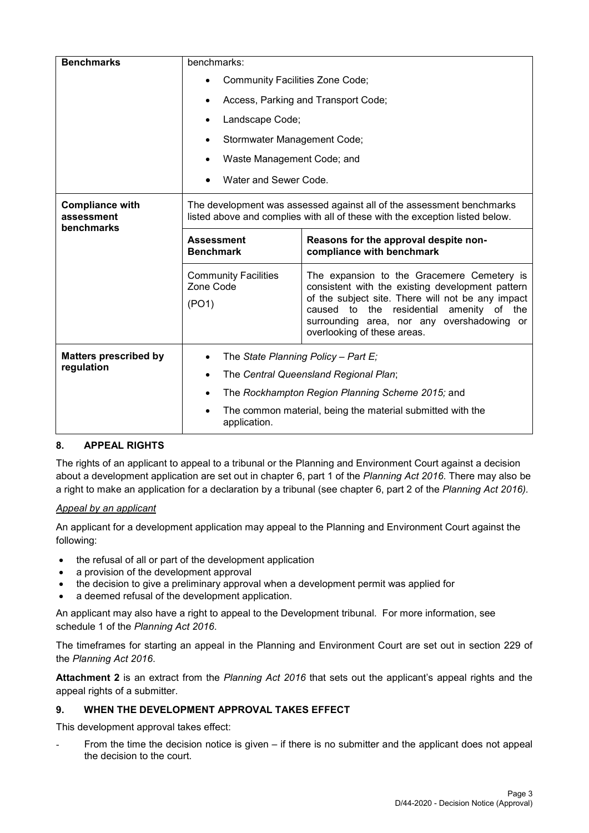| <b>Benchmarks</b>                    | benchmarks:                                                                                                                                           |                                                                                                                                                                                                                                                                                 |  |  |
|--------------------------------------|-------------------------------------------------------------------------------------------------------------------------------------------------------|---------------------------------------------------------------------------------------------------------------------------------------------------------------------------------------------------------------------------------------------------------------------------------|--|--|
|                                      | Community Facilities Zone Code;                                                                                                                       |                                                                                                                                                                                                                                                                                 |  |  |
|                                      |                                                                                                                                                       | Access, Parking and Transport Code;                                                                                                                                                                                                                                             |  |  |
|                                      | Landscape Code;                                                                                                                                       |                                                                                                                                                                                                                                                                                 |  |  |
|                                      | Stormwater Management Code;                                                                                                                           |                                                                                                                                                                                                                                                                                 |  |  |
|                                      | Waste Management Code; and                                                                                                                            |                                                                                                                                                                                                                                                                                 |  |  |
|                                      | Water and Sewer Code.                                                                                                                                 |                                                                                                                                                                                                                                                                                 |  |  |
| <b>Compliance with</b><br>assessment | The development was assessed against all of the assessment benchmarks<br>listed above and complies with all of these with the exception listed below. |                                                                                                                                                                                                                                                                                 |  |  |
| benchmarks                           | <b>Assessment</b><br><b>Benchmark</b>                                                                                                                 | Reasons for the approval despite non-<br>compliance with benchmark                                                                                                                                                                                                              |  |  |
|                                      | <b>Community Facilities</b><br>Zone Code<br>(PO1)                                                                                                     | The expansion to the Gracemere Cemetery is<br>consistent with the existing development pattern<br>of the subject site. There will not be any impact<br>caused to the residential<br>amenity of the<br>surrounding area, nor any overshadowing or<br>overlooking of these areas. |  |  |
| <b>Matters prescribed by</b>         | The State Planning Policy - Part $E_i$                                                                                                                |                                                                                                                                                                                                                                                                                 |  |  |
| regulation                           | The Central Queensland Regional Plan;                                                                                                                 |                                                                                                                                                                                                                                                                                 |  |  |
|                                      | The Rockhampton Region Planning Scheme 2015; and                                                                                                      |                                                                                                                                                                                                                                                                                 |  |  |
|                                      | The common material, being the material submitted with the<br>application.                                                                            |                                                                                                                                                                                                                                                                                 |  |  |

#### **8. APPEAL RIGHTS**

The rights of an applicant to appeal to a tribunal or the Planning and Environment Court against a decision about a development application are set out in chapter 6, part 1 of the *Planning Act 2016*. There may also be a right to make an application for a declaration by a tribunal (see chapter 6, part 2 of the *Planning Act 2016).*

#### *Appeal by an applicant*

An applicant for a development application may appeal to the Planning and Environment Court against the following:

- the refusal of all or part of the development application
- a provision of the development approval
- the decision to give a preliminary approval when a development permit was applied for
- a deemed refusal of the development application.

An applicant may also have a right to appeal to the Development tribunal. For more information, see schedule 1 of the *Planning Act 2016*.

The timeframes for starting an appeal in the Planning and Environment Court are set out in section 229 of the *Planning Act 2016*.

**Attachment 2** is an extract from the *Planning Act 2016* that sets out the applicant's appeal rights and the appeal rights of a submitter.

#### **9. WHEN THE DEVELOPMENT APPROVAL TAKES EFFECT**

This development approval takes effect:

From the time the decision notice is given – if there is no submitter and the applicant does not appeal the decision to the court.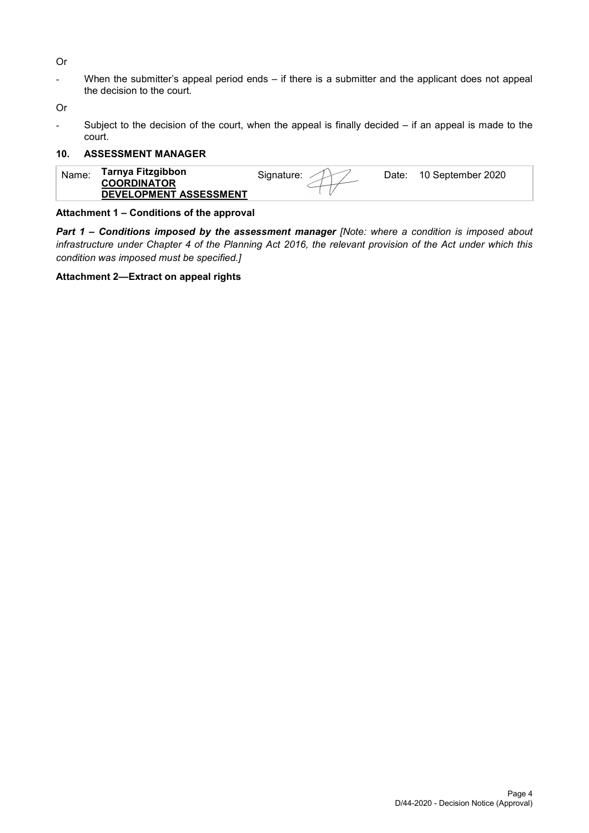Or

- When the submitter's appeal period ends – if there is a submitter and the applicant does not appeal the decision to the court.

Or

Subject to the decision of the court, when the appeal is finally decided  $-$  if an appeal is made to the court.

#### **10. ASSESSMENT MANAGER**

|--|

#### **Attachment 1 – Conditions of the approval**

*Part 1* **–** *Conditions imposed by the assessment manager [Note: where a condition is imposed about infrastructure under Chapter 4 of the Planning Act 2016, the relevant provision of the Act under which this condition was imposed must be specified.]*

#### **Attachment 2—Extract on appeal rights**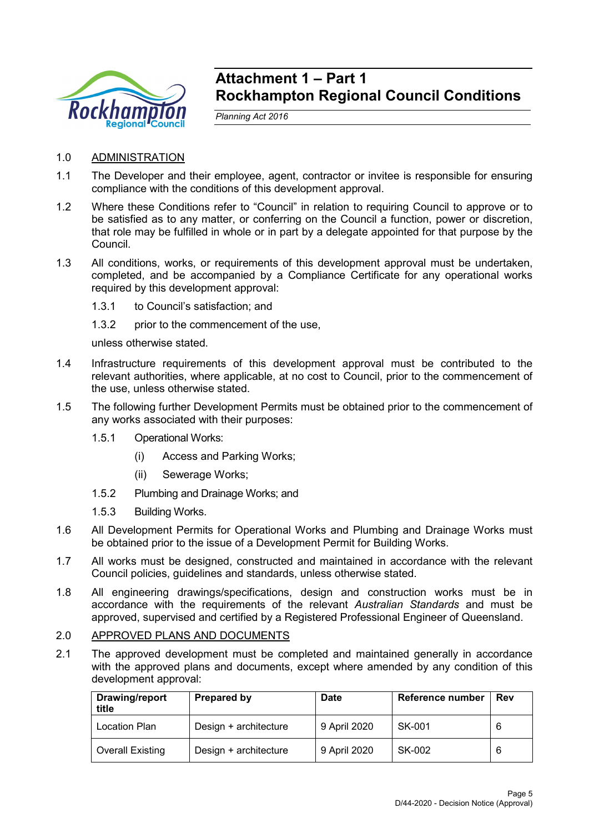

## **Attachment 1 – Part 1 Rockhampton Regional Council Conditions**

*Planning Act 2016*

- 1.0 ADMINISTRATION
- 1.1 The Developer and their employee, agent, contractor or invitee is responsible for ensuring compliance with the conditions of this development approval.
- 1.2 Where these Conditions refer to "Council" in relation to requiring Council to approve or to be satisfied as to any matter, or conferring on the Council a function, power or discretion, that role may be fulfilled in whole or in part by a delegate appointed for that purpose by the Council.
- 1.3 All conditions, works, or requirements of this development approval must be undertaken, completed, and be accompanied by a Compliance Certificate for any operational works required by this development approval:
	- 1.3.1 to Council's satisfaction; and
	- 1.3.2 prior to the commencement of the use,

unless otherwise stated.

- 1.4 Infrastructure requirements of this development approval must be contributed to the relevant authorities, where applicable, at no cost to Council, prior to the commencement of the use, unless otherwise stated.
- 1.5 The following further Development Permits must be obtained prior to the commencement of any works associated with their purposes:
	- 1.5.1 Operational Works:
		- (i) Access and Parking Works;
		- (ii) Sewerage Works;
	- 1.5.2 Plumbing and Drainage Works; and
	- 1.5.3 Building Works.
- 1.6 All Development Permits for Operational Works and Plumbing and Drainage Works must be obtained prior to the issue of a Development Permit for Building Works.
- 1.7 All works must be designed, constructed and maintained in accordance with the relevant Council policies, guidelines and standards, unless otherwise stated.
- 1.8 All engineering drawings/specifications, design and construction works must be in accordance with the requirements of the relevant *Australian Standards* and must be approved, supervised and certified by a Registered Professional Engineer of Queensland.

#### 2.0 APPROVED PLANS AND DOCUMENTS

2.1 The approved development must be completed and maintained generally in accordance with the approved plans and documents, except where amended by any condition of this development approval:

| Drawing/report<br>title | Prepared by           | <b>Date</b>  | <b>Reference number</b> | Rev |
|-------------------------|-----------------------|--------------|-------------------------|-----|
| Location Plan           | Design + architecture | 9 April 2020 | SK-001                  |     |
| <b>Overall Existing</b> | Design + architecture | 9 April 2020 | SK-002                  |     |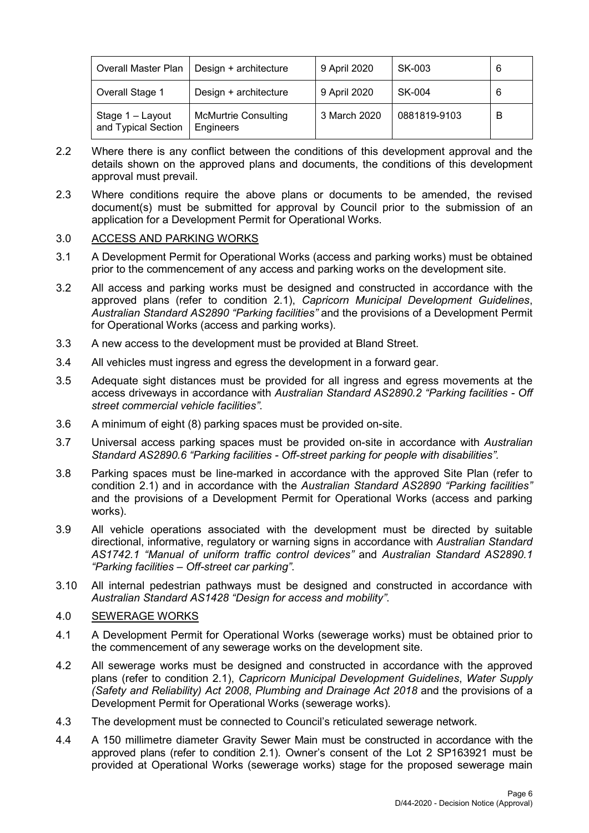| <b>Overall Master Plan</b>              | Design + architecture                    | 9 April 2020 | SK-003       |   |
|-----------------------------------------|------------------------------------------|--------------|--------------|---|
| Overall Stage 1                         | Design + architecture                    | 9 April 2020 | SK-004       |   |
| Stage 1 - Layout<br>and Typical Section | <b>McMurtrie Consulting</b><br>Engineers | 3 March 2020 | 0881819-9103 | В |

- 2.2 Where there is any conflict between the conditions of this development approval and the details shown on the approved plans and documents, the conditions of this development approval must prevail.
- 2.3 Where conditions require the above plans or documents to be amended, the revised document(s) must be submitted for approval by Council prior to the submission of an application for a Development Permit for Operational Works.

#### 3.0 ACCESS AND PARKING WORKS

- 3.1 A Development Permit for Operational Works (access and parking works) must be obtained prior to the commencement of any access and parking works on the development site.
- 3.2 All access and parking works must be designed and constructed in accordance with the approved plans (refer to condition 2.1), *Capricorn Municipal Development Guidelines*, *Australian Standard AS2890 "Parking facilities"* and the provisions of a Development Permit for Operational Works (access and parking works).
- 3.3 A new access to the development must be provided at Bland Street.
- 3.4 All vehicles must ingress and egress the development in a forward gear.
- 3.5 Adequate sight distances must be provided for all ingress and egress movements at the access driveways in accordance with *Australian Standard AS2890.2 "Parking facilities - Off street commercial vehicle facilities"*.
- 3.6 A minimum of eight (8) parking spaces must be provided on-site.
- 3.7 Universal access parking spaces must be provided on-site in accordance with *Australian Standard AS2890.6 "Parking facilities - Off-street parking for people with disabilities".*
- 3.8 Parking spaces must be line-marked in accordance with the approved Site Plan (refer to condition 2.1) and in accordance with the *Australian Standard AS2890 "Parking facilities"* and the provisions of a Development Permit for Operational Works (access and parking works).
- 3.9 All vehicle operations associated with the development must be directed by suitable directional, informative, regulatory or warning signs in accordance with *Australian Standard AS1742.1 "Manual of uniform traffic control devices"* and *Australian Standard AS2890.1 "Parking facilities – Off-street car parking"*.
- 3.10 All internal pedestrian pathways must be designed and constructed in accordance with *Australian Standard AS1428 "Design for access and mobility"*.

#### 4.0 SEWERAGE WORKS

- 4.1 A Development Permit for Operational Works (sewerage works) must be obtained prior to the commencement of any sewerage works on the development site.
- 4.2 All sewerage works must be designed and constructed in accordance with the approved plans (refer to condition 2.1), *Capricorn Municipal Development Guidelines*, *Water Supply (Safety and Reliability) Act 2008*, *Plumbing and Drainage Act 2018* and the provisions of a Development Permit for Operational Works (sewerage works).
- 4.3 The development must be connected to Council's reticulated sewerage network*.*
- 4.4 A 150 millimetre diameter Gravity Sewer Main must be constructed in accordance with the approved plans (refer to condition 2.1). Owner's consent of the Lot 2 SP163921 must be provided at Operational Works (sewerage works) stage for the proposed sewerage main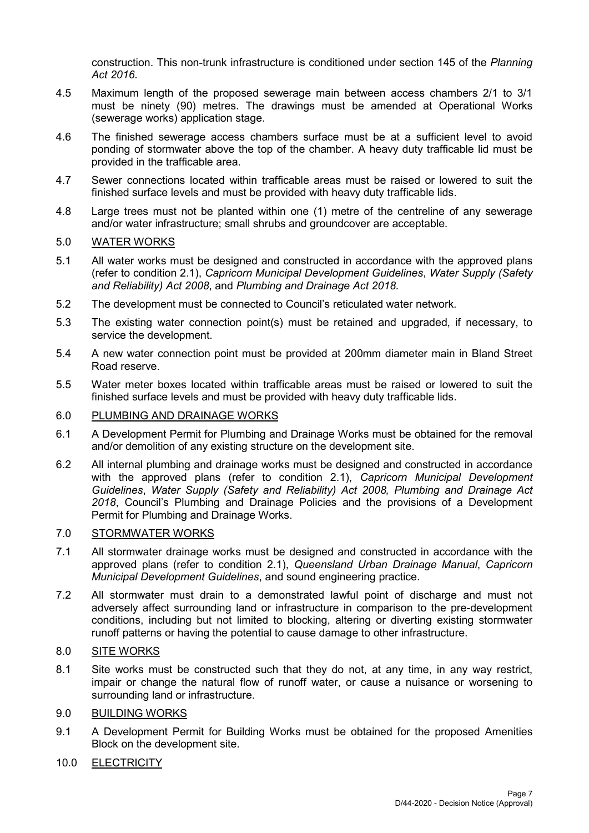construction. This non-trunk infrastructure is conditioned under section 145 of the *Planning Act 2016*.

- 4.5 Maximum length of the proposed sewerage main between access chambers 2/1 to 3/1 must be ninety (90) metres. The drawings must be amended at Operational Works (sewerage works) application stage.
- 4.6 The finished sewerage access chambers surface must be at a sufficient level to avoid ponding of stormwater above the top of the chamber. A heavy duty trafficable lid must be provided in the trafficable area.
- 4.7 Sewer connections located within trafficable areas must be raised or lowered to suit the finished surface levels and must be provided with heavy duty trafficable lids.
- 4.8 Large trees must not be planted within one (1) metre of the centreline of any sewerage and/or water infrastructure; small shrubs and groundcover are acceptable.

#### 5.0 WATER WORKS

- 5.1 All water works must be designed and constructed in accordance with the approved plans (refer to condition 2.1), *Capricorn Municipal Development Guidelines*, *Water Supply (Safety and Reliability) Act 2008*, and *Plumbing and Drainage Act 2018.*
- 5.2 The development must be connected to Council's reticulated water network*.*
- 5.3 The existing water connection point(s) must be retained and upgraded, if necessary, to service the development.
- 5.4 A new water connection point must be provided at 200mm diameter main in Bland Street Road reserve.
- 5.5 Water meter boxes located within trafficable areas must be raised or lowered to suit the finished surface levels and must be provided with heavy duty trafficable lids.

#### 6.0 PLUMBING AND DRAINAGE WORKS

- 6.1 A Development Permit for Plumbing and Drainage Works must be obtained for the removal and/or demolition of any existing structure on the development site.
- 6.2 All internal plumbing and drainage works must be designed and constructed in accordance with the approved plans (refer to condition 2.1), *Capricorn Municipal Development Guidelines*, *Water Supply (Safety and Reliability) Act 2008, Plumbing and Drainage Act 2018*, Council's Plumbing and Drainage Policies and the provisions of a Development Permit for Plumbing and Drainage Works.

#### 7.0 STORMWATER WORKS

- 7.1 All stormwater drainage works must be designed and constructed in accordance with the approved plans (refer to condition 2.1), *Queensland Urban Drainage Manual*, *Capricorn Municipal Development Guidelines*, and sound engineering practice.
- 7.2 All stormwater must drain to a demonstrated lawful point of discharge and must not adversely affect surrounding land or infrastructure in comparison to the pre-development conditions, including but not limited to blocking, altering or diverting existing stormwater runoff patterns or having the potential to cause damage to other infrastructure.

## 8.0 SITE WORKS

8.1 Site works must be constructed such that they do not, at any time, in any way restrict, impair or change the natural flow of runoff water, or cause a nuisance or worsening to surrounding land or infrastructure.

#### 9.0 BUILDING WORKS

9.1 A Development Permit for Building Works must be obtained for the proposed Amenities Block on the development site.

#### 10.0 ELECTRICITY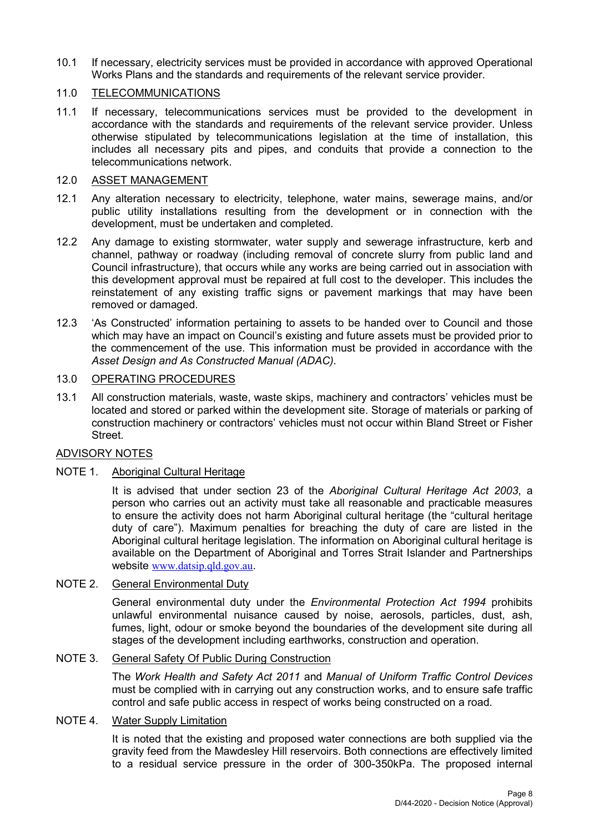10.1 If necessary, electricity services must be provided in accordance with approved Operational Works Plans and the standards and requirements of the relevant service provider.

### 11.0 TELECOMMUNICATIONS

11.1 If necessary, telecommunications services must be provided to the development in accordance with the standards and requirements of the relevant service provider. Unless otherwise stipulated by telecommunications legislation at the time of installation, this includes all necessary pits and pipes, and conduits that provide a connection to the telecommunications network.

#### 12.0 ASSET MANAGEMENT

- 12.1 Any alteration necessary to electricity, telephone, water mains, sewerage mains, and/or public utility installations resulting from the development or in connection with the development, must be undertaken and completed.
- 12.2 Any damage to existing stormwater, water supply and sewerage infrastructure, kerb and channel, pathway or roadway (including removal of concrete slurry from public land and Council infrastructure), that occurs while any works are being carried out in association with this development approval must be repaired at full cost to the developer. This includes the reinstatement of any existing traffic signs or pavement markings that may have been removed or damaged.
- 12.3 'As Constructed' information pertaining to assets to be handed over to Council and those which may have an impact on Council's existing and future assets must be provided prior to the commencement of the use. This information must be provided in accordance with the *Asset Design and As Constructed Manual (ADAC).*

## 13.0 OPERATING PROCEDURES

13.1 All construction materials, waste, waste skips, machinery and contractors' vehicles must be located and stored or parked within the development site. Storage of materials or parking of construction machinery or contractors' vehicles must not occur within Bland Street or Fisher Street.

#### ADVISORY NOTES

### NOTE 1. Aboriginal Cultural Heritage

It is advised that under section 23 of the *Aboriginal Cultural Heritage Act 2003*, a person who carries out an activity must take all reasonable and practicable measures to ensure the activity does not harm Aboriginal cultural heritage (the "cultural heritage duty of care"). Maximum penalties for breaching the duty of care are listed in the Aboriginal cultural heritage legislation. The information on Aboriginal cultural heritage is available on the Department of Aboriginal and Torres Strait Islander and Partnerships website [www.datsip.qld.gov.au](http://www.datsip.qld.gov.au/).

#### NOTE 2. General Environmental Duty

General environmental duty under the *Environmental Protection Act 1994* prohibits unlawful environmental nuisance caused by noise, aerosols, particles, dust, ash, fumes, light, odour or smoke beyond the boundaries of the development site during all stages of the development including earthworks, construction and operation.

#### NOTE 3. General Safety Of Public During Construction

The *Work Health and Safety Act 2011* and *Manual of Uniform Traffic Control Devices* must be complied with in carrying out any construction works, and to ensure safe traffic control and safe public access in respect of works being constructed on a road.

### NOTE 4. Water Supply Limitation

It is noted that the existing and proposed water connections are both supplied via the gravity feed from the Mawdesley Hill reservoirs. Both connections are effectively limited to a residual service pressure in the order of 300-350kPa. The proposed internal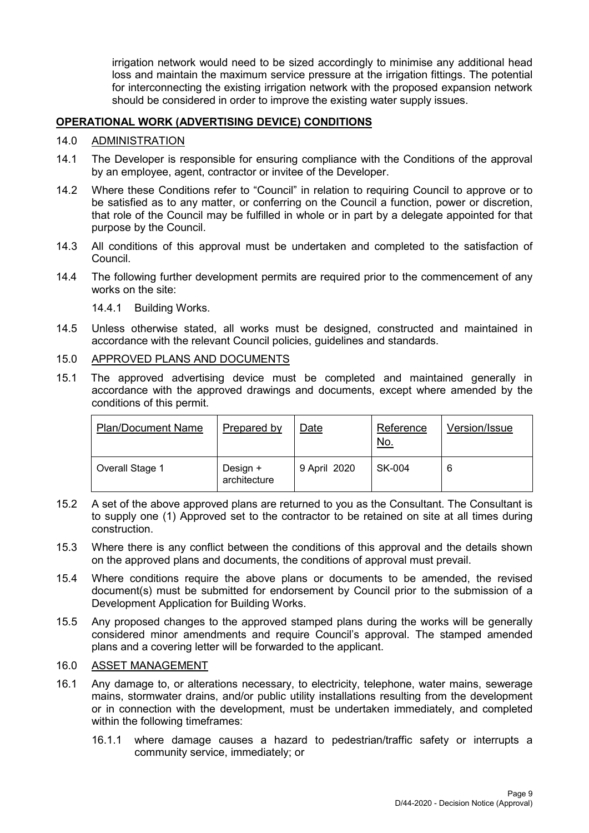irrigation network would need to be sized accordingly to minimise any additional head loss and maintain the maximum service pressure at the irrigation fittings. The potential for interconnecting the existing irrigation network with the proposed expansion network should be considered in order to improve the existing water supply issues.

#### **OPERATIONAL WORK (ADVERTISING DEVICE) CONDITIONS**

#### 14.0 ADMINISTRATION

- 14.1 The Developer is responsible for ensuring compliance with the Conditions of the approval by an employee, agent, contractor or invitee of the Developer.
- 14.2 Where these Conditions refer to "Council" in relation to requiring Council to approve or to be satisfied as to any matter, or conferring on the Council a function, power or discretion, that role of the Council may be fulfilled in whole or in part by a delegate appointed for that purpose by the Council.
- 14.3 All conditions of this approval must be undertaken and completed to the satisfaction of Council.
- 14.4 The following further development permits are required prior to the commencement of any works on the site:

14.4.1 Building Works.

14.5 Unless otherwise stated, all works must be designed, constructed and maintained in accordance with the relevant Council policies, guidelines and standards.

#### 15.0 APPROVED PLANS AND DOCUMENTS

15.1 The approved advertising device must be completed and maintained generally in accordance with the approved drawings and documents, except where amended by the conditions of this permit.

| <b>Plan/Document Name</b> | Prepared by              | Date         | Reference<br><u>No.</u> | Version/Issue |
|---------------------------|--------------------------|--------------|-------------------------|---------------|
| Overall Stage 1           | Design +<br>architecture | 9 April 2020 | SK-004                  | 6             |

- 15.2 A set of the above approved plans are returned to you as the Consultant. The Consultant is to supply one (1) Approved set to the contractor to be retained on site at all times during construction.
- 15.3 Where there is any conflict between the conditions of this approval and the details shown on the approved plans and documents, the conditions of approval must prevail.
- 15.4 Where conditions require the above plans or documents to be amended, the revised document(s) must be submitted for endorsement by Council prior to the submission of a Development Application for Building Works.
- 15.5 Any proposed changes to the approved stamped plans during the works will be generally considered minor amendments and require Council's approval. The stamped amended plans and a covering letter will be forwarded to the applicant.

### 16.0 ASSET MANAGEMENT

- 16.1 Any damage to, or alterations necessary, to electricity, telephone, water mains, sewerage mains, stormwater drains, and/or public utility installations resulting from the development or in connection with the development, must be undertaken immediately, and completed within the following timeframes:
	- 16.1.1 where damage causes a hazard to pedestrian/traffic safety or interrupts a community service, immediately; or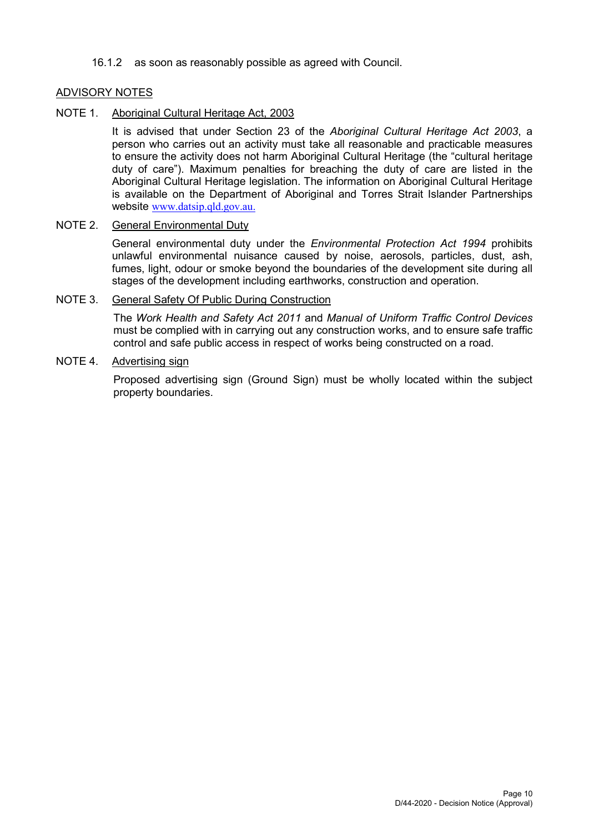16.1.2 as soon as reasonably possible as agreed with Council.

#### ADVISORY NOTES

#### NOTE 1. Aboriginal Cultural Heritage Act, 2003

It is advised that under Section 23 of the *Aboriginal Cultural Heritage Act 2003*, a person who carries out an activity must take all reasonable and practicable measures to ensure the activity does not harm Aboriginal Cultural Heritage (the "cultural heritage duty of care"). Maximum penalties for breaching the duty of care are listed in the Aboriginal Cultural Heritage legislation. The information on Aboriginal Cultural Heritage is available on the Department of Aboriginal and Torres Strait Islander Partnerships website [www.datsip.qld.gov.au.](http://www.datsip.qld.gov.au/)

#### NOTE 2. General Environmental Duty

General environmental duty under the *Environmental Protection Act 1994* prohibits unlawful environmental nuisance caused by noise, aerosols, particles, dust, ash, fumes, light, odour or smoke beyond the boundaries of the development site during all stages of the development including earthworks, construction and operation.

#### NOTE 3. General Safety Of Public During Construction

The *Work Health and Safety Act 2011* and *Manual of Uniform Traffic Control Devices* must be complied with in carrying out any construction works, and to ensure safe traffic control and safe public access in respect of works being constructed on a road.

#### NOTE 4. Advertising sign

Proposed advertising sign (Ground Sign) must be wholly located within the subject property boundaries.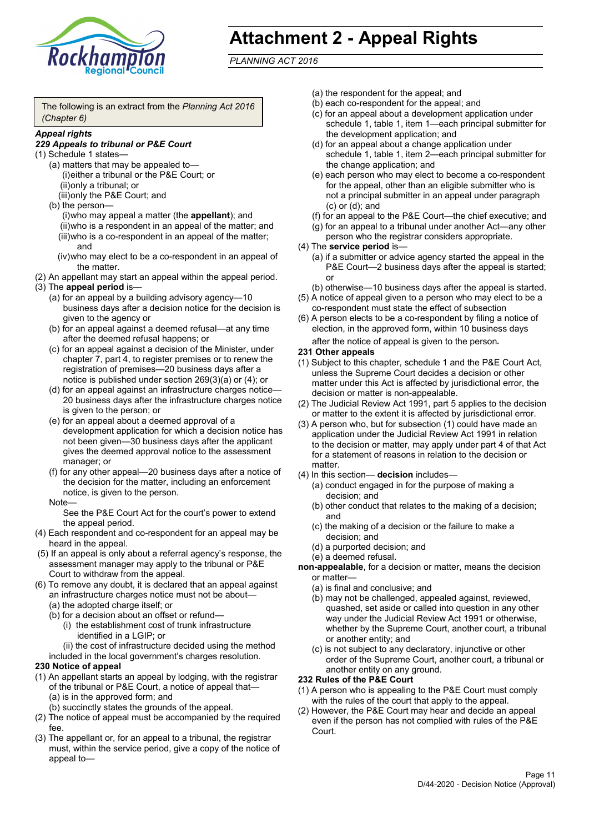

# **Attachment 2 - Appeal Rights**

*PLANNING ACT 2016*

The following is an extract from the *Planning Act 2016 (Chapter 6)*

#### *Appeal rights*

#### *229 Appeals to tribunal or P&E Court*

- (1) Schedule 1 states—
	- (a) matters that may be appealed to— (i)either a tribunal or the P&E Court; or (ii)only a tribunal; or (iii)only the P&E Court; and
	- (b) the person—

(i)who may appeal a matter (the **appellant**); and (ii)who is a respondent in an appeal of the matter; and (iii)who is a co-respondent in an appeal of the matter; and

- (iv)who may elect to be a co-respondent in an appeal of the matter.
- (2) An appellant may start an appeal within the appeal period.
- (3) The **appeal period** is—
	- (a) for an appeal by a building advisory agency—10 business days after a decision notice for the decision is given to the agency or
	- (b) for an appeal against a deemed refusal—at any time after the deemed refusal happens; or
	- (c) for an appeal against a decision of the Minister, under chapter 7, part 4, to register premises or to renew the registration of premises—20 business days after a notice is published under section 269(3)(a) or (4); or
	- (d) for an appeal against an infrastructure charges notice— 20 business days after the infrastructure charges notice is given to the person; or
	- (e) for an appeal about a deemed approval of a development application for which a decision notice has not been given—30 business days after the applicant gives the deemed approval notice to the assessment manager; or
	- (f) for any other appeal—20 business days after a notice of the decision for the matter, including an enforcement notice, is given to the person.

#### Note—

See the P&E Court Act for the court's power to extend the appeal period.

- (4) Each respondent and co-respondent for an appeal may be heard in the appeal.
- (5) If an appeal is only about a referral agency's response, the assessment manager may apply to the tribunal or P&E Court to withdraw from the appeal.
- (6) To remove any doubt, it is declared that an appeal against an infrastructure charges notice must not be about—
	- (a) the adopted charge itself; or
	- (b) for a decision about an offset or refund—
		- (i) the establishment cost of trunk infrastructure identified in a LGIP; or

(ii) the cost of infrastructure decided using the method

included in the local government's charges resolution.

- **230 Notice of appeal**
- (1) An appellant starts an appeal by lodging, with the registrar of the tribunal or P&E Court, a notice of appeal that—
	- (a) is in the approved form; and
	- (b) succinctly states the grounds of the appeal.
- (2) The notice of appeal must be accompanied by the required fee.
- (3) The appellant or, for an appeal to a tribunal, the registrar must, within the service period, give a copy of the notice of appeal to—
- (a) the respondent for the appeal; and
- (b) each co-respondent for the appeal; and
- (c) for an appeal about a development application under schedule 1, table 1, item 1—each principal submitter for the development application; and
- (d) for an appeal about a change application under schedule 1, table 1, item 2—each principal submitter for the change application; and
- (e) each person who may elect to become a co-respondent for the appeal, other than an eligible submitter who is not a principal submitter in an appeal under paragraph (c) or (d); and
- (f) for an appeal to the P&E Court—the chief executive; and
- (g) for an appeal to a tribunal under another Act—any other person who the registrar considers appropriate.
- (4) The **service period** is—
	- (a) if a submitter or advice agency started the appeal in the P&E Court—2 business days after the appeal is started; or
	- (b) otherwise—10 business days after the appeal is started.
- (5) A notice of appeal given to a person who may elect to be a co-respondent must state the effect of subsection
- (6) A person elects to be a co-respondent by filing a notice of election, in the approved form, within 10 business days after the notice of appeal is given to the person*.*
- **231 Other appeals**
- (1) Subject to this chapter, schedule 1 and the P&E Court Act, unless the Supreme Court decides a decision or other matter under this Act is affected by jurisdictional error, the decision or matter is non-appealable.
- (2) The Judicial Review Act 1991, part 5 applies to the decision or matter to the extent it is affected by jurisdictional error.
- (3) A person who, but for subsection (1) could have made an application under the Judicial Review Act 1991 in relation to the decision or matter, may apply under part 4 of that Act for a statement of reasons in relation to the decision or matter.
- (4) In this section— **decision** includes—
	- (a) conduct engaged in for the purpose of making a decision; and
	- (b) other conduct that relates to the making of a decision; and
	- (c) the making of a decision or the failure to make a decision; and
	- (d) a purported decision; and
	- (e) a deemed refusal.

**non-appealable**, for a decision or matter, means the decision or matter—

- (a) is final and conclusive; and
- (b) may not be challenged, appealed against, reviewed, quashed, set aside or called into question in any other way under the Judicial Review Act 1991 or otherwise, whether by the Supreme Court, another court, a tribunal or another entity; and
- (c) is not subject to any declaratory, injunctive or other order of the Supreme Court, another court, a tribunal or another entity on any ground.

#### **232 Rules of the P&E Court**

- (1) A person who is appealing to the P&E Court must comply with the rules of the court that apply to the appeal.
- (2) However, the P&E Court may hear and decide an appeal even if the person has not complied with rules of the P&E Court.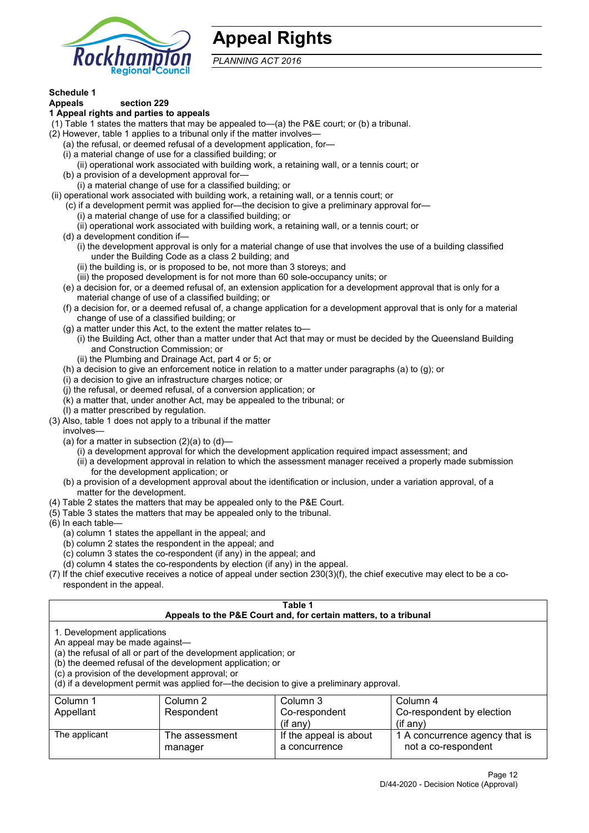

## **Appeal Rights**

*PLANNING ACT 2016*

## **Schedule 1**

#### **Appeals section 229 1 Appeal rights and parties to appeals**

- (1) Table 1 states the matters that may be appealed to—(a) the P&E court; or (b) a tribunal.
- (2) However, table 1 applies to a tribunal only if the matter involves—
	- (a) the refusal, or deemed refusal of a development application, for—
	- (i) a material change of use for a classified building; or
	- (ii) operational work associated with building work, a retaining wall, or a tennis court; or
	- (b) a provision of a development approval for—
	- (i) a material change of use for a classified building; or
- (ii) operational work associated with building work, a retaining wall, or a tennis court; or
	- (c) if a development permit was applied for—the decision to give a preliminary approval for—
		- (i) a material change of use for a classified building; or
		- (ii) operational work associated with building work, a retaining wall, or a tennis court; or
	- (d) a development condition if—
		- (i) the development approval is only for a material change of use that involves the use of a building classified under the Building Code as a class 2 building; and
		- (ii) the building is, or is proposed to be, not more than 3 storeys; and
		- (iii) the proposed development is for not more than 60 sole-occupancy units; or
	- (e) a decision for, or a deemed refusal of, an extension application for a development approval that is only for a material change of use of a classified building; or
	- (f) a decision for, or a deemed refusal of, a change application for a development approval that is only for a material change of use of a classified building; or
	- (g) a matter under this Act, to the extent the matter relates to—
		- (i) the Building Act, other than a matter under that Act that may or must be decided by the Queensland Building and Construction Commission; or
		- (ii) the Plumbing and Drainage Act, part 4 or 5; or
	- (h) a decision to give an enforcement notice in relation to a matter under paragraphs (a) to (g); or
	- (i) a decision to give an infrastructure charges notice; or
	- (j) the refusal, or deemed refusal, of a conversion application; or
	- (k) a matter that, under another Act, may be appealed to the tribunal; or
	- (l) a matter prescribed by regulation.
- (3) Also, table 1 does not apply to a tribunal if the matter

involves—

- (a) for a matter in subsection  $(2)(a)$  to  $(d)$ 
	- (i) a development approval for which the development application required impact assessment; and
	- (ii) a development approval in relation to which the assessment manager received a properly made submission for the development application; or
- (b) a provision of a development approval about the identification or inclusion, under a variation approval, of a matter for the development.
- (4) Table 2 states the matters that may be appealed only to the P&E Court.
- (5) Table 3 states the matters that may be appealed only to the tribunal.
- (6) In each table—
	- (a) column 1 states the appellant in the appeal; and
	- (b) column 2 states the respondent in the appeal; and
	- (c) column 3 states the co-respondent (if any) in the appeal; and
	- (d) column 4 states the co-respondents by election (if any) in the appeal.
- (7) If the chief executive receives a notice of appeal under section 230(3)(f), the chief executive may elect to be a corespondent in the appeal.

| Table 1<br>Appeals to the P&E Court and, for certain matters, to a tribunal                                                                                                                                                                                                                                                                    |                           |                                         |                                                       |
|------------------------------------------------------------------------------------------------------------------------------------------------------------------------------------------------------------------------------------------------------------------------------------------------------------------------------------------------|---------------------------|-----------------------------------------|-------------------------------------------------------|
| 1. Development applications<br>An appeal may be made against-<br>(a) the refusal of all or part of the development application; or<br>(b) the deemed refusal of the development application; or<br>(c) a provision of the development approval; or<br>(d) if a development permit was applied for—the decision to give a preliminary approval. |                           |                                         |                                                       |
| Column 3<br>Column 1<br>Column 2<br>Column 4<br>Respondent<br>Co-respondent by election<br>Appellant<br>Co-respondent<br>$(if$ any)<br>$(i$ f any)                                                                                                                                                                                             |                           |                                         |                                                       |
| The applicant                                                                                                                                                                                                                                                                                                                                  | The assessment<br>manager | If the appeal is about<br>a concurrence | 1 A concurrence agency that is<br>not a co-respondent |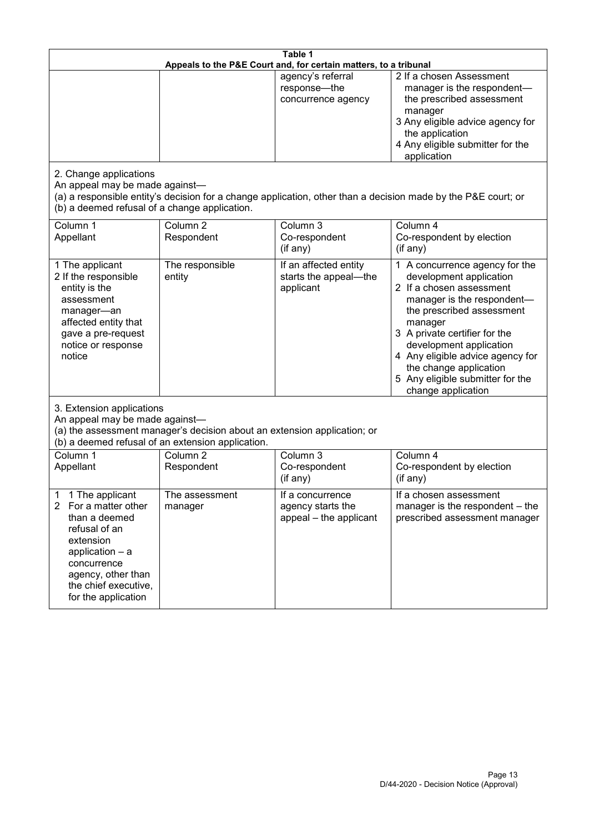| Table 1<br>Appeals to the P&E Court and, for certain matters, to a tribunal                                                                                                                           |                                                                                                                               |                                                                 |                                                                                                                                                                                                                                                                                                                                                 |
|-------------------------------------------------------------------------------------------------------------------------------------------------------------------------------------------------------|-------------------------------------------------------------------------------------------------------------------------------|-----------------------------------------------------------------|-------------------------------------------------------------------------------------------------------------------------------------------------------------------------------------------------------------------------------------------------------------------------------------------------------------------------------------------------|
|                                                                                                                                                                                                       |                                                                                                                               | agency's referral<br>response-the<br>concurrence agency         | 2 If a chosen Assessment<br>manager is the respondent-<br>the prescribed assessment<br>manager<br>3 Any eligible advice agency for<br>the application<br>4 Any eligible submitter for the<br>application                                                                                                                                        |
| 2. Change applications<br>An appeal may be made against-<br>(b) a deemed refusal of a change application.                                                                                             |                                                                                                                               |                                                                 | (a) a responsible entity's decision for a change application, other than a decision made by the P&E court; or                                                                                                                                                                                                                                   |
| Column 1<br>Appellant                                                                                                                                                                                 | Column <sub>2</sub><br>Respondent                                                                                             | Column 3<br>Co-respondent<br>(if any)                           | Column 4<br>Co-respondent by election<br>(if any)                                                                                                                                                                                                                                                                                               |
| 1 The applicant<br>2 If the responsible<br>entity is the<br>assessment<br>manager-an<br>affected entity that<br>gave a pre-request<br>notice or response<br>notice                                    | The responsible<br>entity                                                                                                     | If an affected entity<br>starts the appeal-the<br>applicant     | 1 A concurrence agency for the<br>development application<br>2 If a chosen assessment<br>manager is the respondent-<br>the prescribed assessment<br>manager<br>3 A private certifier for the<br>development application<br>4 Any eligible advice agency for<br>the change application<br>5 Any eligible submitter for the<br>change application |
| 3. Extension applications<br>An appeal may be made against-                                                                                                                                           | (a) the assessment manager's decision about an extension application; or<br>(b) a deemed refusal of an extension application. |                                                                 |                                                                                                                                                                                                                                                                                                                                                 |
| Column 1<br>Appellant                                                                                                                                                                                 | Column <sub>2</sub><br>Respondent                                                                                             | Column 3<br>Co-respondent<br>(if any)                           | Column 4<br>Co-respondent by election<br>(if any)                                                                                                                                                                                                                                                                                               |
| 1 The applicant<br>1<br>2<br>For a matter other<br>than a deemed<br>refusal of an<br>extension<br>application - a<br>concurrence<br>agency, other than<br>the chief executive,<br>for the application | The assessment<br>manager                                                                                                     | If a concurrence<br>agency starts the<br>appeal - the applicant | If a chosen assessment<br>manager is the respondent - the<br>prescribed assessment manager                                                                                                                                                                                                                                                      |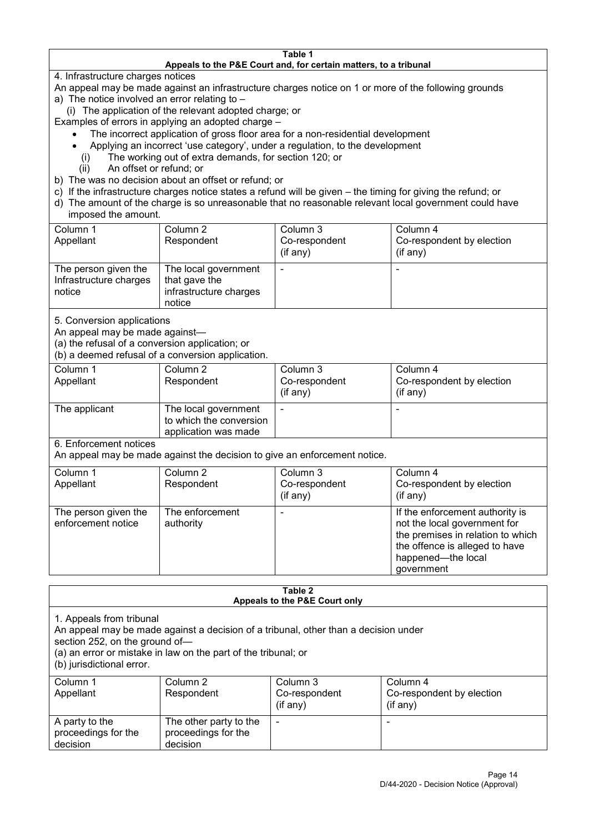#### **Table 1 Appeals to the P&E Court and, for certain matters, to a tribunal**

4. Infrastructure charges notices

- An appeal may be made against an infrastructure charges notice on 1 or more of the following grounds
- a) The notice involved an error relating to
	- (i) The application of the relevant adopted charge; or
- Examples of errors in applying an adopted charge
	- The incorrect application of gross floor area for a non-residential development
	- Applying an incorrect 'use category', under a regulation, to the development
	- (i) The working out of extra demands, for section 120; or
	- (ii) An offset or refund; or
- b) The was no decision about an offset or refund; or
- c) If the infrastructure charges notice states a refund will be given the timing for giving the refund; or
- d) The amount of the charge is so unreasonable that no reasonable relevant local government could have

## imposed the amount.

| Column 1<br>Appellant                                    | Column 2<br>Respondent                                                    | Column 3<br>Co-respondent<br>(if any) | Column 4<br>Co-respondent by election<br>$($ if any $)$ |
|----------------------------------------------------------|---------------------------------------------------------------------------|---------------------------------------|---------------------------------------------------------|
| The person given the<br>Infrastructure charges<br>notice | The local government<br>that gave the<br>infrastructure charges<br>notice |                                       |                                                         |

5. Conversion applications

An appeal may be made against—

(a) the refusal of a conversion application; or

(b) a deemed refusal of a conversion application.

| Column 1<br>Appellant | Column 2<br>Respondent                                                  | Column 3<br>Co-respondent<br>$($ if any $)$ | Column 4<br>Co-respondent by election<br>$($ if any $)$ |
|-----------------------|-------------------------------------------------------------------------|---------------------------------------------|---------------------------------------------------------|
| The applicant         | The local government<br>to which the conversion<br>application was made |                                             |                                                         |

6. Enforcement notices

An appeal may be made against the decision to give an enforcement notice.

| Column 1                                   | Column 2                     | Column 3      | Column 4                                                                                                                                                                   |
|--------------------------------------------|------------------------------|---------------|----------------------------------------------------------------------------------------------------------------------------------------------------------------------------|
| Appellant                                  | Respondent                   | Co-respondent | Co-respondent by election                                                                                                                                                  |
|                                            |                              | (if any)      | (if any)                                                                                                                                                                   |
| The person given the<br>enforcement notice | The enforcement<br>authority |               | If the enforcement authority is<br>not the local government for<br>the premises in relation to which<br>the offence is alleged to have<br>happened-the local<br>government |

#### **Table 2 Appeals to the P&E Court only**

1. Appeals from tribunal

An appeal may be made against a decision of a tribunal, other than a decision under

section 252, on the ground of—

(a) an error or mistake in law on the part of the tribunal; or

(b) jurisdictional error.

| Column 1<br>Appellant                             | Column 2<br>Respondent                                    | Column 3<br>Co-respondent<br>$($ if any $)$ | Column 4<br>Co-respondent by election<br>$($ if any $)$ |
|---------------------------------------------------|-----------------------------------------------------------|---------------------------------------------|---------------------------------------------------------|
| A party to the<br>proceedings for the<br>decision | The other party to the<br>proceedings for the<br>decision | ٠                                           |                                                         |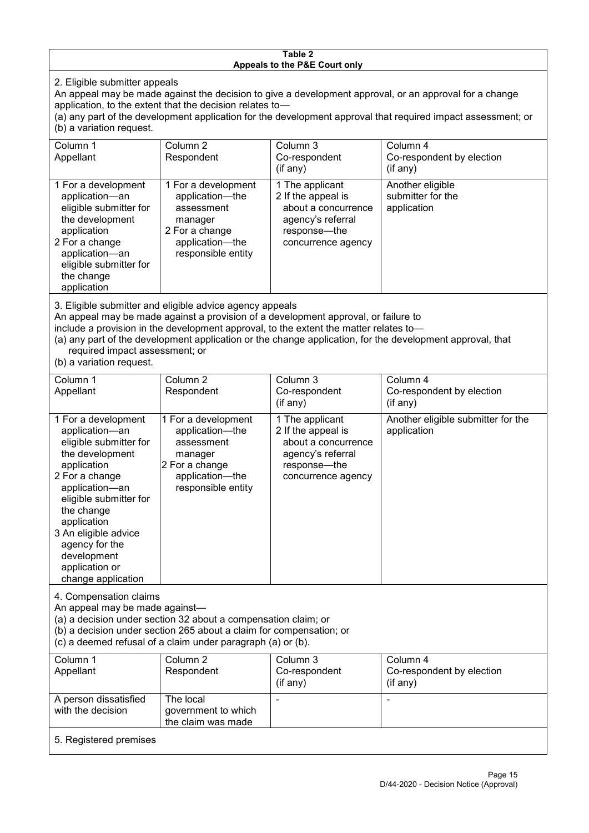#### **Table 2 Appeals to the P&E Court only**

2. Eligible submitter appeals

An appeal may be made against the decision to give a development approval, or an approval for a change application, to the extent that the decision relates to—

(a) any part of the development application for the development approval that required impact assessment; or (b) a variation request.

| Column 1<br>Appellant                                                                                                                                                                        | Column 2<br>Respondent                                                                                                     | Column 3<br>Co-respondent                                                                                               | Column 4<br>Co-respondent by election                |  |  |
|----------------------------------------------------------------------------------------------------------------------------------------------------------------------------------------------|----------------------------------------------------------------------------------------------------------------------------|-------------------------------------------------------------------------------------------------------------------------|------------------------------------------------------|--|--|
|                                                                                                                                                                                              |                                                                                                                            | (if any)                                                                                                                | (if any)                                             |  |  |
| 1 For a development<br>application-an<br>eligible submitter for<br>the development<br>application<br>2 For a change<br>application-an<br>eligible submitter for<br>the change<br>application | 1 For a development<br>application-the<br>assessment<br>manager<br>2 For a change<br>application-the<br>responsible entity | 1 The applicant<br>2 If the appeal is<br>about a concurrence<br>agency's referral<br>response—the<br>concurrence agency | Another eligible<br>submitter for the<br>application |  |  |
|                                                                                                                                                                                              | 2. Eligible outpoitter and eligible advise agency appeals                                                                  |                                                                                                                         |                                                      |  |  |

3. Eligible submitter and eligible advice agency appeals

An appeal may be made against a provision of a development approval, or failure to

include a provision in the development approval, to the extent the matter relates to—

(a) any part of the development application or the change application, for the development approval, that required impact assessment; or

(b) a variation request.

| Column 1                                                                                                                                                                                                                                                                                      | Column 2                                                                                                                                                                                             | Column 3                                                                                                                | Column 4                                          |
|-----------------------------------------------------------------------------------------------------------------------------------------------------------------------------------------------------------------------------------------------------------------------------------------------|------------------------------------------------------------------------------------------------------------------------------------------------------------------------------------------------------|-------------------------------------------------------------------------------------------------------------------------|---------------------------------------------------|
| Appellant                                                                                                                                                                                                                                                                                     | Respondent                                                                                                                                                                                           | Co-respondent<br>(if any)                                                                                               | Co-respondent by election<br>(if any)             |
| 1 For a development<br>application-an<br>eligible submitter for<br>the development<br>application<br>2 For a change<br>application-an<br>eligible submitter for<br>the change<br>application<br>3 An eligible advice<br>agency for the<br>development<br>application or<br>change application | 1 For a development<br>application-the<br>assessment<br>manager<br>2 For a change<br>application-the<br>responsible entity                                                                           | 1 The applicant<br>2 If the appeal is<br>about a concurrence<br>agency's referral<br>response-the<br>concurrence agency | Another eligible submitter for the<br>application |
| 4. Compensation claims<br>An appeal may be made against-                                                                                                                                                                                                                                      | (a) a decision under section 32 about a compensation claim; or<br>(b) a decision under section 265 about a claim for compensation; or<br>(c) a deemed refusal of a claim under paragraph (a) or (b). |                                                                                                                         |                                                   |
| Column 1<br>Appellant                                                                                                                                                                                                                                                                         | Column 2<br>Respondent                                                                                                                                                                               | Column 3<br>Co-respondent<br>(if any)                                                                                   | Column 4<br>Co-respondent by election<br>(if any) |
| A person dissatisfied<br>with the decision                                                                                                                                                                                                                                                    | The local<br>government to which<br>the claim was made                                                                                                                                               |                                                                                                                         |                                                   |
| 5. Registered premises                                                                                                                                                                                                                                                                        |                                                                                                                                                                                                      |                                                                                                                         |                                                   |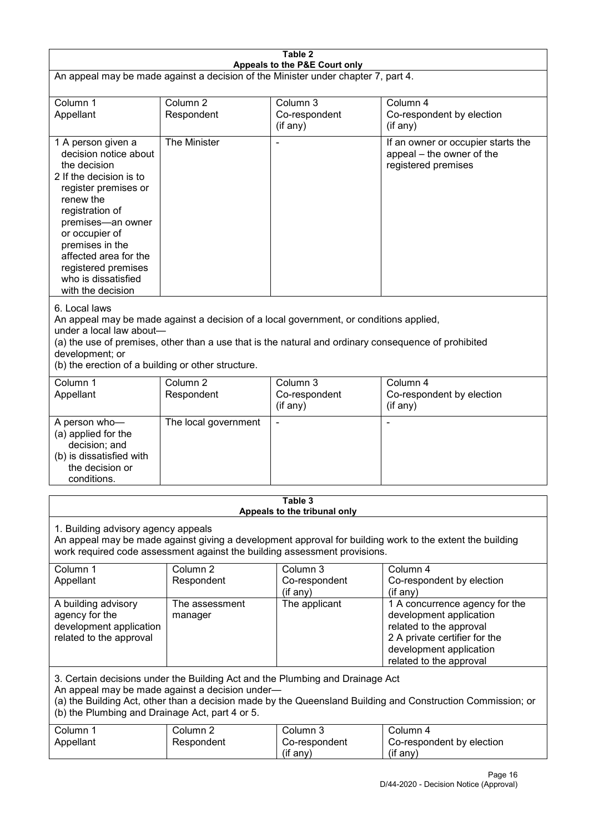| Table 2<br>Appeals to the P&E Court only                                                                                                                                                                                                                                                                             |                                   |                                                                           |                                                                                                                                                                             |
|----------------------------------------------------------------------------------------------------------------------------------------------------------------------------------------------------------------------------------------------------------------------------------------------------------------------|-----------------------------------|---------------------------------------------------------------------------|-----------------------------------------------------------------------------------------------------------------------------------------------------------------------------|
| An appeal may be made against a decision of the Minister under chapter 7, part 4.                                                                                                                                                                                                                                    |                                   |                                                                           |                                                                                                                                                                             |
| Column 1<br>Appellant                                                                                                                                                                                                                                                                                                | Column <sub>2</sub><br>Respondent | Column 3<br>Co-respondent<br>(if any)                                     | Column 4<br>Co-respondent by election<br>(if any)                                                                                                                           |
| 1 A person given a<br>decision notice about<br>the decision<br>2 If the decision is to<br>register premises or<br>renew the<br>registration of<br>premises-an owner<br>or occupier of<br>premises in the<br>affected area for the<br>registered premises<br>who is dissatisfied<br>with the decision                 | The Minister                      |                                                                           | If an owner or occupier starts the<br>appeal - the owner of the<br>registered premises                                                                                      |
| 6. Local laws<br>An appeal may be made against a decision of a local government, or conditions applied,<br>under a local law about-<br>(a) the use of premises, other than a use that is the natural and ordinary consequence of prohibited<br>development; or<br>(b) the erection of a building or other structure. |                                   |                                                                           |                                                                                                                                                                             |
| Column 1<br>Appellant                                                                                                                                                                                                                                                                                                | Column <sub>2</sub><br>Respondent | Column 3<br>Co-respondent<br>(if any)                                     | Column 4<br>Co-respondent by election<br>(if any)                                                                                                                           |
| A person who-<br>(a) applied for the<br>decision; and<br>(b) is dissatisfied with<br>the decision or<br>conditions.                                                                                                                                                                                                  | The local government              |                                                                           | ٠                                                                                                                                                                           |
|                                                                                                                                                                                                                                                                                                                      |                                   | Table 3<br>Appeals to the tribunal only                                   |                                                                                                                                                                             |
| 1. Building advisory agency appeals                                                                                                                                                                                                                                                                                  |                                   | work required code assessment against the building assessment provisions. | An appeal may be made against giving a development approval for building work to the extent the building                                                                    |
| Column 1<br>Appellant                                                                                                                                                                                                                                                                                                | Column <sub>2</sub><br>Respondent | Column 3<br>Co-respondent<br>(if any)                                     | Column 4<br>Co-respondent by election<br>(if any)                                                                                                                           |
| A building advisory<br>agency for the<br>development application<br>related to the approval                                                                                                                                                                                                                          | The assessment<br>manager         | The applicant                                                             | 1 A concurrence agency for the<br>development application<br>related to the approval<br>2 A private certifier for the<br>development application<br>related to the approval |
| 3. Certain decisions under the Building Act and the Plumbing and Drainage Act<br>An appeal may be made against a decision under-<br>(a) the Building Act, other than a decision made by the Queensland Building and Construction Commission; or<br>(b) the Plumbing and Drainage Act, part 4 or 5.                   |                                   |                                                                           |                                                                                                                                                                             |
| Column 1<br>Appellant                                                                                                                                                                                                                                                                                                | Column <sub>2</sub><br>Respondent | Column 3<br>Co-respondent<br>(if any)                                     | Column 4<br>Co-respondent by election<br>(if any)                                                                                                                           |